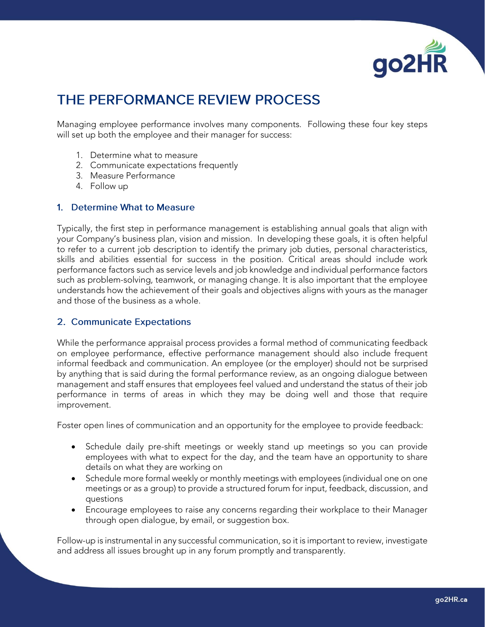

# THE PERFORMANCE REVIEW PROCESS

Managing employee performance involves many components. Following these four key steps will set up both the employee and their manager for success:

- 1. Determine what to measure
- 2. Communicate expectations frequently
- 3. Measure Performance
- 4. Follow up

### 1. Determine What to Measure

Typically, the first step in performance management is establishing annual goals that align with your Company's business plan, vision and mission. In developing these goals, it is often helpful to refer to a current job description to identify the primary job duties, personal characteristics, skills and abilities essential for success in the position. Critical areas should include work performance factors such as service levels and job knowledge and individual performance factors such as problem-solving, teamwork, or managing change. It is also important that the employee understands how the achievement of their goals and objectives aligns with yours as the manager and those of the business as a whole.

### 2. Communicate Expectations

While the performance appraisal process provides a formal method of communicating feedback on employee performance, effective performance management should also include frequent informal feedback and communication. An employee (or the employer) should not be surprised by anything that is said during the formal performance review, as an ongoing dialogue between management and staff ensures that employees feel valued and understand the status of their job performance in terms of areas in which they may be doing well and those that require improvement.

Foster open lines of communication and an opportunity for the employee to provide feedback:

- Schedule daily pre-shift meetings or weekly stand up meetings so you can provide employees with what to expect for the day, and the team have an opportunity to share details on what they are working on
- Schedule more formal weekly or monthly meetings with employees (individual one on one meetings or as a group) to provide a structured forum for input, feedback, discussion, and questions
- Encourage employees to raise any concerns regarding their workplace to their Manager through open dialogue, by email, or suggestion box.

Follow-up is instrumental in any successful communication, so it is important to review, investigate and address all issues brought up in any forum promptly and transparently.